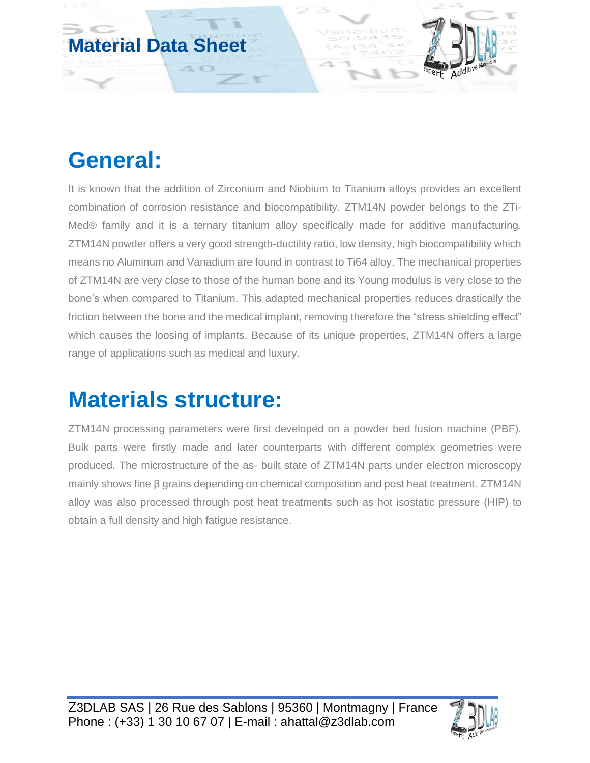

## **General:**

It is known that the addition of Zirconium and Niobium to Titanium alloys provides an excellent combination of corrosion resistance and biocompatibility. ZTM14N powder belongs to the ZTi-Med® family and it is a ternary titanium alloy specifically made for additive manufacturing. ZTM14N powder offers a very good strength-ductility ratio, low density, high biocompatibility which means no Aluminum and Vanadium are found in contrast to Ti64 alloy. The mechanical properties of ZTM14N are very close to those of the human bone and its Young modulus is very close to the bone's when compared to Titanium. This adapted mechanical properties reduces drastically the friction between the bone and the medical implant, removing therefore the "stress shielding effect" which causes the loosing of implants. Because of its unique properties, ZTM14N offers a large range of applications such as medical and luxury.

## **Materials structure:**

ZTM14N processing parameters were first developed on a powder bed fusion machine (PBF). Bulk parts were firstly made and later counterparts with different complex geometries were produced. The microstructure of the as- built state of ZTM14N parts under electron microscopy mainly shows fine β grains depending on chemical composition and post heat treatment. ZTM14N alloy was also processed through post heat treatments such as hot isostatic pressure (HIP) to obtain a full density and high fatigue resistance.

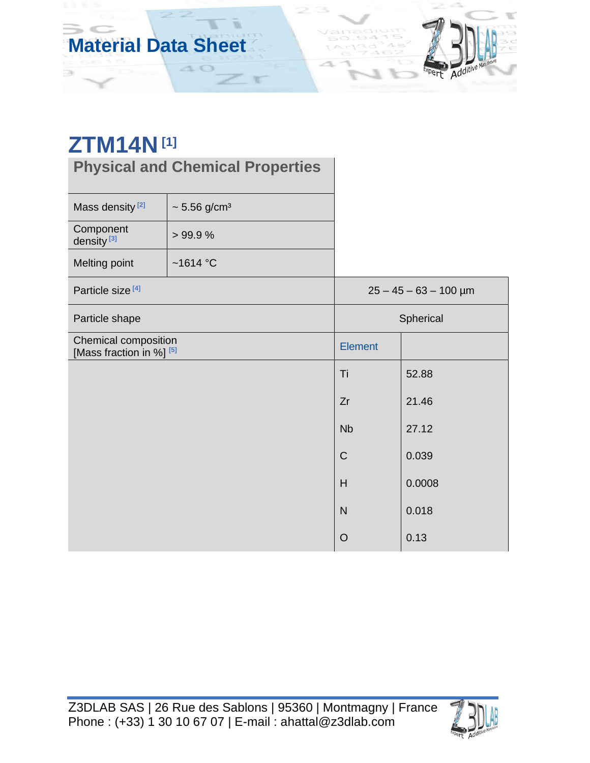

∍

**Physical and Chemical Properties**

10

| Mass density <sup>[2]</sup>                                 | $\sim 5.56$ g/cm <sup>3</sup> |                         |        |  |
|-------------------------------------------------------------|-------------------------------|-------------------------|--------|--|
| Component<br>density <sup>[3]</sup>                         | >99.9%                        |                         |        |  |
| Melting point                                               | ~1614 $^{\circ}$ C            |                         |        |  |
| Particle size <sup>[4]</sup>                                |                               | $25 - 45 - 63 - 100$ µm |        |  |
| Particle shape                                              |                               | Spherical               |        |  |
| Chemical composition<br>[Mass fraction in %] <sup>[5]</sup> |                               | <b>Element</b>          |        |  |
|                                                             |                               | Ti                      | 52.88  |  |
|                                                             |                               | Zr                      | 21.46  |  |
|                                                             |                               | <b>Nb</b>               | 27.12  |  |
|                                                             |                               | $\mathsf C$             | 0.039  |  |
|                                                             |                               | H                       | 0.0008 |  |
|                                                             |                               | $\overline{N}$          | 0.018  |  |
|                                                             |                               | $\circ$                 | 0.13   |  |

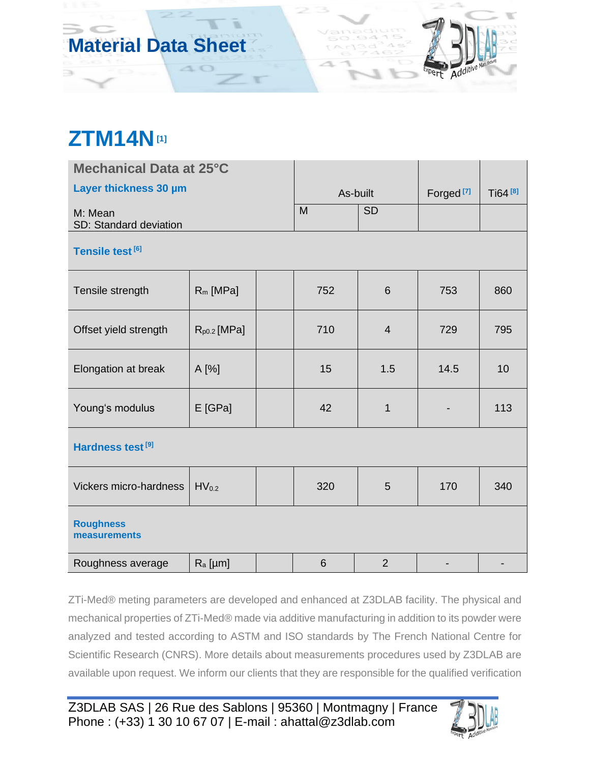## **ZTM14N[1]**

 $\Rightarrow$ 

| Mechanical Data at 25°C           |                  |          |     |                       |                     |     |  |  |  |
|-----------------------------------|------------------|----------|-----|-----------------------|---------------------|-----|--|--|--|
| Layer thickness 30 µm             |                  | As-built |     | Forged <sup>[7]</sup> | Ti64 <sup>[8]</sup> |     |  |  |  |
| M: Mean<br>SD: Standard deviation |                  |          | M   | <b>SD</b>             |                     |     |  |  |  |
| Tensile test [6]                  |                  |          |     |                       |                     |     |  |  |  |
| Tensile strength                  | $R_m$ [MPa]      |          | 752 | 6                     | 753                 | 860 |  |  |  |
| Offset yield strength             | $R_{p0.2}$ [MPa] |          | 710 | $\overline{4}$        | 729                 | 795 |  |  |  |
| Elongation at break               | A [%]            |          | 15  | 1.5                   | 14.5                | 10  |  |  |  |
| Young's modulus                   | E [GPa]          |          | 42  | $\mathbf{1}$          |                     | 113 |  |  |  |
| Hardness test [9]                 |                  |          |     |                       |                     |     |  |  |  |
| Vickers micro-hardness            | $HV_{0.2}$       |          | 320 | 5                     | 170                 | 340 |  |  |  |
| <b>Roughness</b><br>measurements  |                  |          |     |                       |                     |     |  |  |  |
| Roughness average                 | $R_a$ [µm]       |          | 6   | $\overline{2}$        |                     |     |  |  |  |

ZTi-Med® meting parameters are developed and enhanced at Z3DLAB facility. The physical and mechanical properties of ZTi-Med® made via additive manufacturing in addition to its powder were analyzed and tested according to ASTM and ISO standards by The French National Centre for Scientific Research (CNRS). More details about measurements procedures used by Z3DLAB are available upon request. We inform our clients that they are responsible for the qualified verification